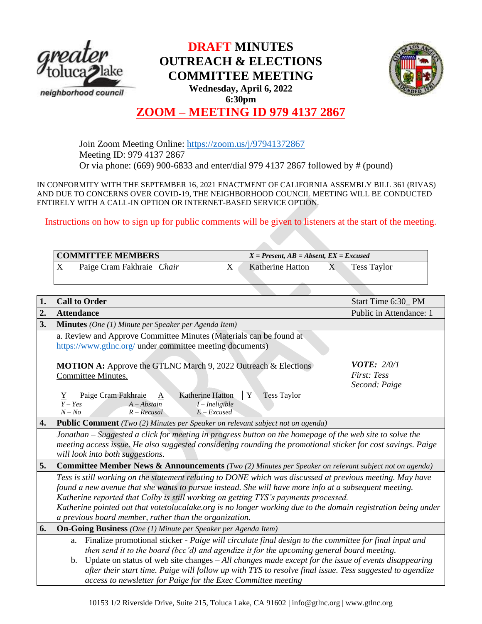

# **DRAFT MINUTES OUTREACH & ELECTIONS COMMITTEE MEETING Wednesday, April 6, 2022 6:30pm**



# **ZOOM – MEETING ID 979 4137 2867**

Join Zoom Meeting Online:<https://zoom.us/j/97941372867> Meeting ID: 979 4137 2867 Or via phone: (669) 900-6833 and enter/dial 979 4137 2867 followed by # (pound)

IN CONFORMITY WITH THE SEPTEMBER 16, 2021 ENACTMENT OF CALIFORNIA ASSEMBLY BILL 361 (RIVAS) AND DUE TO CONCERNS OVER COVID-19, THE NEIGHBORHOOD COUNCIL MEETING WILL BE CONDUCTED ENTIRELY WITH A CALL-IN OPTION OR INTERNET-BASED SERVICE OPTION.

Instructions on how to sign up for public comments will be given to listeners at the start of the meeting.

| <b>COMMITTEE MEMBERS</b> |                           | $X = Present, AB = Absent, EX = Excused$ |  |                    |
|--------------------------|---------------------------|------------------------------------------|--|--------------------|
| $\Delta$                 | Paige Cram Fakhraie Chair | Katherine Hatton                         |  | <b>Tess Taylor</b> |

| 1. | <b>Call to Order</b>                                                                                                                                                                                                                                                                                                                                                                                                                                                                                | Start Time 6:30_PM                                 |  |  |  |
|----|-----------------------------------------------------------------------------------------------------------------------------------------------------------------------------------------------------------------------------------------------------------------------------------------------------------------------------------------------------------------------------------------------------------------------------------------------------------------------------------------------------|----------------------------------------------------|--|--|--|
| 2. | <b>Attendance</b>                                                                                                                                                                                                                                                                                                                                                                                                                                                                                   | Public in Attendance: 1                            |  |  |  |
| 3. | <b>Minutes</b> (One (1) Minute per Speaker per Agenda Item)                                                                                                                                                                                                                                                                                                                                                                                                                                         |                                                    |  |  |  |
|    | a. Review and Approve Committee Minutes (Materials can be found at<br>https://www.gtlnc.org/ under committee meeting documents)                                                                                                                                                                                                                                                                                                                                                                     |                                                    |  |  |  |
|    | <b>MOTION A:</b> Approve the GTLNC March 9, 2022 Outreach & Elections<br>Committee Minutes.<br>Paige Cram Fakhraie<br><b>Katherine Hatton</b><br>Y<br><b>Tess Taylor</b><br>$Y - Yes$<br>$A - Abstain$<br>$I$ – Ineligible<br>$N - No$<br>$R - Recusal$<br>$E$ – Excused                                                                                                                                                                                                                            | <b>VOTE: 2/0/1</b><br>First: Tess<br>Second: Paige |  |  |  |
| 4. | Public Comment (Two (2) Minutes per Speaker on relevant subject not on agenda)                                                                                                                                                                                                                                                                                                                                                                                                                      |                                                    |  |  |  |
|    | Jonathan – Suggested a click for meeting in progress button on the homepage of the web site to solve the<br>meeting access issue. He also suggested considering rounding the promotional sticker for cost savings. Paige<br>will look into both suggestions.                                                                                                                                                                                                                                        |                                                    |  |  |  |
| 5. | <b>Committee Member News &amp; Announcements</b> (Two (2) Minutes per Speaker on relevant subject not on agenda)                                                                                                                                                                                                                                                                                                                                                                                    |                                                    |  |  |  |
|    | Tess is still working on the statement relating to DONE which was discussed at previous meeting. May have<br>found a new avenue that she wants to pursue instead. She will have more info at a subsequent meeting.<br>Katherine reported that Colby is still working on getting TYS's payments processed.<br>Katherine pointed out that votetolucalake.org is no longer working due to the domain registration being under<br>a previous board member, rather than the organization.                |                                                    |  |  |  |
| 6. | <b>On-Going Business</b> (One (1) Minute per Speaker per Agenda Item)                                                                                                                                                                                                                                                                                                                                                                                                                               |                                                    |  |  |  |
|    | Finalize promotional sticker - Paige will circulate final design to the committee for final input and<br>a.<br>then send it to the board (bcc'd) and agendize it for the upcoming general board meeting.<br>Update on status of web site changes $-All$ changes made except for the issue of events disappearing<br>b.<br>after their start time. Paige will follow up with TYS to resolve final issue. Tess suggested to agendize<br>access to newsletter for Paige for the Exec Committee meeting |                                                    |  |  |  |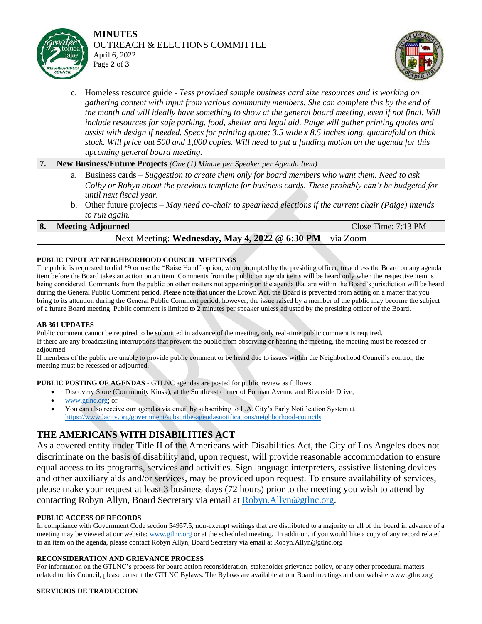

### **MINUTES** OUTREACH & ELECTIONS COMMITTEE April 6, 2022 Page **2** of **3**



c. Homeless resource guide - *Tess provided sample business card size resources and is working on gathering content with input from various community members. She can complete this by the end of the month and will ideally have something to show at the general board meeting, even if not final. Will include resources for safe parking, food, shelter and legal aid. Paige will gather printing quotes and assist with design if needed. Specs for printing quote: 3.5 wide x 8.5 inches long, quadrafold on thick stock. Will price out 500 and 1,000 copies. Will need to put a funding motion on the agenda for this upcoming general board meeting.* 

## **7. New Business/Future Projects** *(One (1) Minute per Speaker per Agenda Item)*

- a. Business cards *Suggestion to create them only for board members who want them. Need to ask Colby or Robyn about the previous template for business cards. These probably can't be budgeted for until next fiscal year.*
- b. Other future projects *May need co-chair to spearhead elections if the current chair (Paige) intends to run again.*

#### **8. Meeting Adjourned** Close Time: 7:13 PM

# Next Meeting: **Wednesday, May 4, 2022 @ 6:30 PM** – via Zoom

#### **PUBLIC INPUT AT NEIGHBORHOOD COUNCIL MEETINGS**

The public is requested to dial \*9 or use the "Raise Hand" option, when prompted by the presiding officer, to address the Board on any agenda item before the Board takes an action on an item. Comments from the public on agenda items will be heard only when the respective item is being considered. Comments from the public on other matters not appearing on the agenda that are within the Board's jurisdiction will be heard during the General Public Comment period. Please note that under the Brown Act, the Board is prevented from acting on a matter that you bring to its attention during the General Public Comment period; however, the issue raised by a member of the public may become the subject of a future Board meeting. Public comment is limited to 2 minutes per speaker unless adjusted by the presiding officer of the Board.

#### **AB 361 UPDATES**

Public comment cannot be required to be submitted in advance of the meeting, only real-time public comment is required. If there are any broadcasting interruptions that prevent the public from observing or hearing the meeting, the meeting must be recessed or adjourned.

If members of the public are unable to provide public comment or be heard due to issues within the Neighborhood Council's control, the meeting must be recessed or adjourned.

**PUBLIC POSTING OF AGENDAS** - GTLNC agendas are posted for public review as follows:

- Discovery Store (Community Kiosk), at the Southeast corner of Forman Avenue and Riverside Drive;
- [www.gtlnc.org;](http://www.gtlnc.org/) or
- You can also receive our agendas via email by subscribing to L.A. City's Early Notification System at <https://www.lacity.org/government/subscribe-agendasnotifications/neighborhood-councils>

# **THE AMERICANS WITH DISABILITIES ACT**

As a covered entity under Title II of the Americans with Disabilities Act, the City of Los Angeles does not discriminate on the basis of disability and, upon request, will provide reasonable accommodation to ensure equal access to its programs, services and activities. Sign language interpreters, assistive listening devices and other auxiliary aids and/or services, may be provided upon request. To ensure availability of services, please make your request at least 3 business days (72 hours) prior to the meeting you wish to attend by contacting Robyn Allyn, Board Secretary via email at [Robyn.Allyn@gtlnc.org.](mailto:Robyn.Allyn@gtlnc.org)

#### **PUBLIC ACCESS OF RECORDS**

In compliance with Government Code section 54957.5, non-exempt writings that are distributed to a majority or all of the board in advance of a meeting may be viewed at our website: [www.gtlnc.org](http://www.gtlnc.org/) or at the scheduled meeting. In addition, if you would like a copy of any record related to an item on the agenda, please contact Robyn Allyn, Board Secretary via email at Robyn.Allyn@gtlnc.org

#### **RECONSIDERATION AND GRIEVANCE PROCESS**

For information on the GTLNC's process for board action reconsideration, stakeholder grievance policy, or any other procedural matters related to this Council, please consult the GTLNC Bylaws. The Bylaws are available at our Board meetings and our website www.gtlnc.org

#### **SERVICIOS DE TRADUCCION**